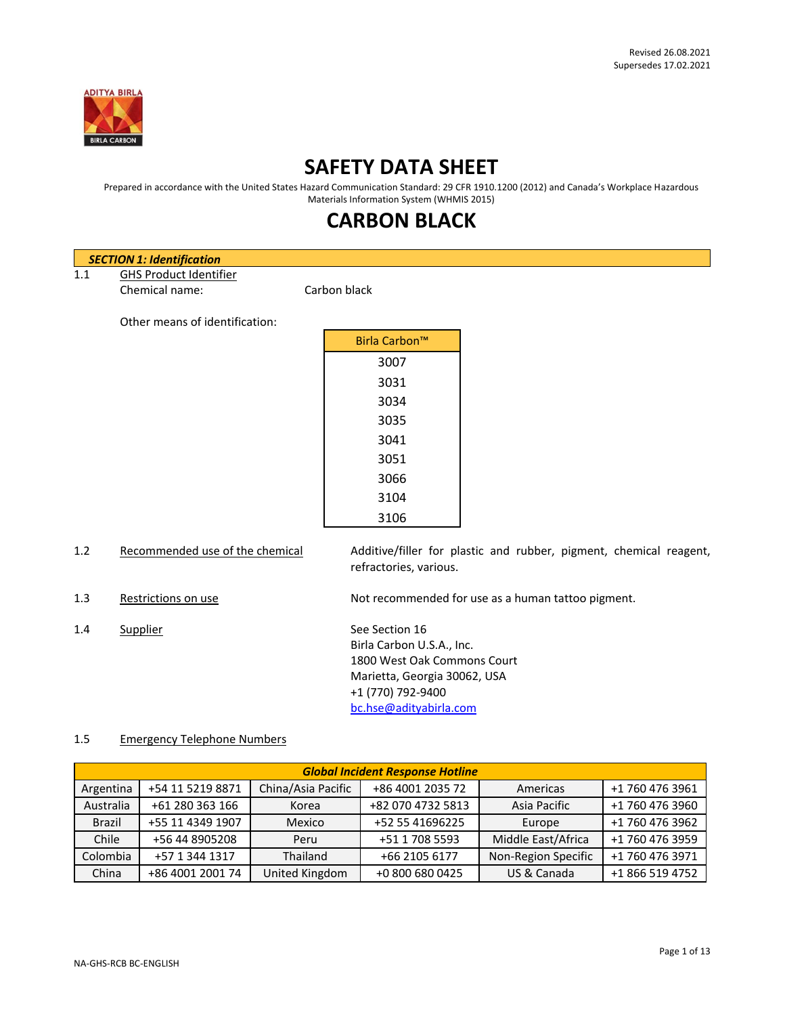

# **SAFETY DATA SHEET**

Prepared in accordance with the United States Hazard Communication Standard: 29 CFR 1910.1200 (2012) and Canada's Workplace Hazardous Materials Information System (WHMIS 2015)

# **CARBON BLACK**

|     | <b>SECTION 1: Identification</b> |                                                                                              |
|-----|----------------------------------|----------------------------------------------------------------------------------------------|
| 1.1 | <b>GHS Product Identifier</b>    |                                                                                              |
|     | Chemical name:                   | Carbon black                                                                                 |
|     | Other means of identification:   |                                                                                              |
|     |                                  | Birla Carbon™                                                                                |
|     |                                  | 3007                                                                                         |
|     |                                  | 3031                                                                                         |
|     |                                  | 3034                                                                                         |
|     |                                  | 3035                                                                                         |
|     |                                  | 3041                                                                                         |
|     |                                  | 3051                                                                                         |
|     |                                  | 3066                                                                                         |
|     |                                  | 3104                                                                                         |
|     |                                  | 3106                                                                                         |
| 1.2 | Recommended use of the chemical  | Additive/filler for plastic and rubber, pigment, chemical reagent,<br>refractories, various. |
| 1.3 | Restrictions on use              | Not recommended for use as a human tattoo pigment.                                           |

1.4 Supplier See Section 16 Birla Carbon U.S.A., Inc. 1800 West Oak Commons Court Marietta, Georgia 30062, USA +1 (770) 792-9400 [bc.hse@adityabirla.com](mailto:bc.hse@adityabirla.com)

## 1.5 Emergency Telephone Numbers

| <b>Global Incident Response Hotline</b> |                                        |                   |                     |                    |                 |
|-----------------------------------------|----------------------------------------|-------------------|---------------------|--------------------|-----------------|
| Argentina                               | China/Asia Pacific<br>+54 11 5219 8871 |                   | +86 4001 2035 72    | Americas           | +1 760 476 3961 |
| Australia<br>+61 280 363 166<br>Korea   |                                        | +82 070 4732 5813 | Asia Pacific        | +1 760 476 3960    |                 |
| <b>Brazil</b>                           | +55 11 4349 1907                       | Mexico            | +52 55 41696225     | Europe             | +1 760 476 3962 |
| Chile                                   | +56 44 8905208                         | Peru              | +51 1 708 5593      | Middle East/Africa | +1 760 476 3959 |
| Colombia<br>+57 1 344 1317<br>Thailand  |                                        | +66 2105 6177     | Non-Region Specific | +1 760 476 3971    |                 |
| China                                   | +86 4001 2001 74                       | United Kingdom    | +0 800 680 0425     | US & Canada        | +1 866 519 4752 |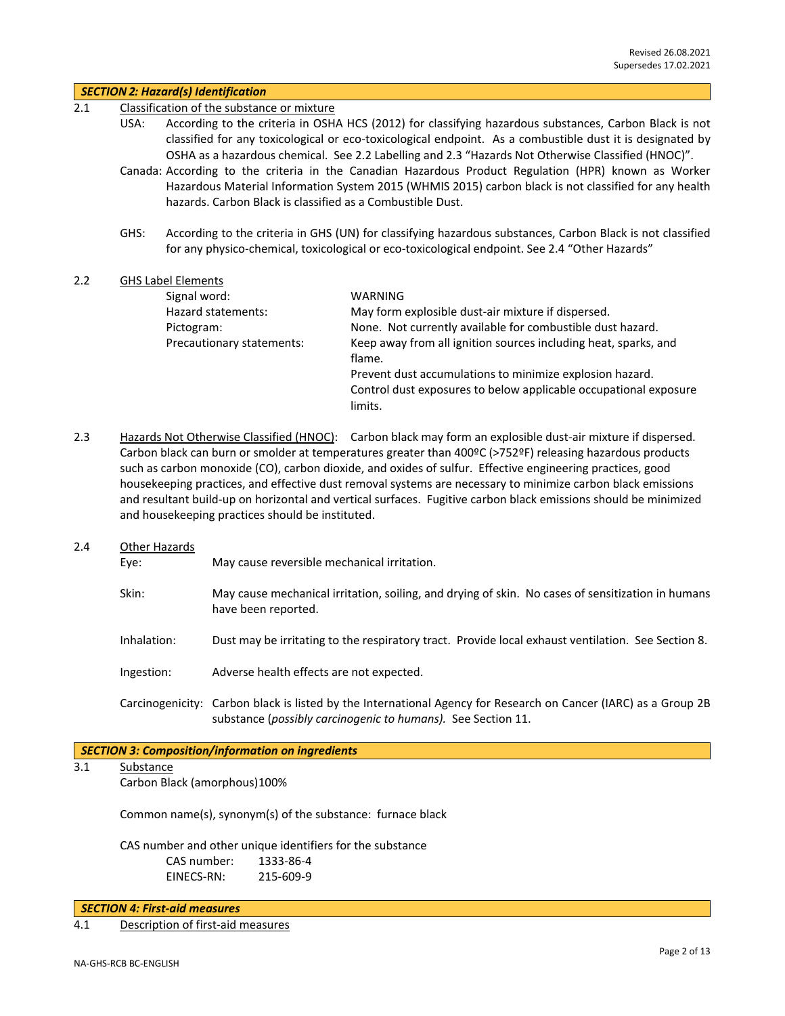| 2.1 |                       | <b>SECTION 2: Hazard(s) Identification</b>                                                                                                                                                                                                                                                                                                                              |                                                                                                                                                                                                                                                                                                                                                                                                                                                                                                                                                                                 |  |  |
|-----|-----------------------|-------------------------------------------------------------------------------------------------------------------------------------------------------------------------------------------------------------------------------------------------------------------------------------------------------------------------------------------------------------------------|---------------------------------------------------------------------------------------------------------------------------------------------------------------------------------------------------------------------------------------------------------------------------------------------------------------------------------------------------------------------------------------------------------------------------------------------------------------------------------------------------------------------------------------------------------------------------------|--|--|
|     | USA:                  | Classification of the substance or mixture<br>According to the criteria in OSHA HCS (2012) for classifying hazardous substances, Carbon Black is not<br>classified for any toxicological or eco-toxicological endpoint. As a combustible dust it is designated by<br>OSHA as a hazardous chemical. See 2.2 Labelling and 2.3 "Hazards Not Otherwise Classified (HNOC)". |                                                                                                                                                                                                                                                                                                                                                                                                                                                                                                                                                                                 |  |  |
|     |                       | Canada: According to the criteria in the Canadian Hazardous Product Regulation (HPR) known as Worker<br>Hazardous Material Information System 2015 (WHMIS 2015) carbon black is not classified for any health<br>hazards. Carbon Black is classified as a Combustible Dust.                                                                                             |                                                                                                                                                                                                                                                                                                                                                                                                                                                                                                                                                                                 |  |  |
|     | GHS:                  |                                                                                                                                                                                                                                                                                                                                                                         | According to the criteria in GHS (UN) for classifying hazardous substances, Carbon Black is not classified<br>for any physico-chemical, toxicological or eco-toxicological endpoint. See 2.4 "Other Hazards"                                                                                                                                                                                                                                                                                                                                                                    |  |  |
| 2.2 |                       | <b>GHS Label Elements</b>                                                                                                                                                                                                                                                                                                                                               |                                                                                                                                                                                                                                                                                                                                                                                                                                                                                                                                                                                 |  |  |
| 2.3 |                       | Signal word:<br>Hazard statements:<br>Pictogram:<br>Precautionary statements:                                                                                                                                                                                                                                                                                           | WARNING<br>May form explosible dust-air mixture if dispersed.<br>None. Not currently available for combustible dust hazard.<br>Keep away from all ignition sources including heat, sparks, and<br>flame.<br>Prevent dust accumulations to minimize explosion hazard.<br>Control dust exposures to below applicable occupational exposure<br>limits.<br>Hazards Not Otherwise Classified (HNOC): Carbon black may form an explosible dust-air mixture if dispersed.<br>Carbon black can burn or smolder at temperatures greater than 400°C (>752°F) releasing hazardous products |  |  |
|     |                       | and housekeeping practices should be instituted.                                                                                                                                                                                                                                                                                                                        | such as carbon monoxide (CO), carbon dioxide, and oxides of sulfur. Effective engineering practices, good<br>housekeeping practices, and effective dust removal systems are necessary to minimize carbon black emissions<br>and resultant build-up on horizontal and vertical surfaces. Fugitive carbon black emissions should be minimized                                                                                                                                                                                                                                     |  |  |
| 2.4 | Other Hazards<br>Eye: | May cause reversible mechanical irritation.                                                                                                                                                                                                                                                                                                                             |                                                                                                                                                                                                                                                                                                                                                                                                                                                                                                                                                                                 |  |  |
|     | Skin:                 | have been reported.                                                                                                                                                                                                                                                                                                                                                     | May cause mechanical irritation, soiling, and drying of skin. No cases of sensitization in humans                                                                                                                                                                                                                                                                                                                                                                                                                                                                               |  |  |
|     | Inhalation:           |                                                                                                                                                                                                                                                                                                                                                                         | Dust may be irritating to the respiratory tract. Provide local exhaust ventilation. See Section 8.                                                                                                                                                                                                                                                                                                                                                                                                                                                                              |  |  |

Ingestion: Adverse health effects are not expected.

Carcinogenicity: Carbon black is listed by the International Agency for Research on Cancer (IARC) as a Group 2B substance (*possibly carcinogenic to humans).* See Section 11.

# *SECTION 3: Composition/information on ingredients*

# 3.1 Substance

Carbon Black (amorphous)100%

Common name(s), synonym(s) of the substance: furnace black

CAS number and other unique identifiers for the substance CAS number: 1333-86-4 EINECS-RN: 215-609-9

*SECTION 4: First-aid measures*

4.1 Description of first-aid measures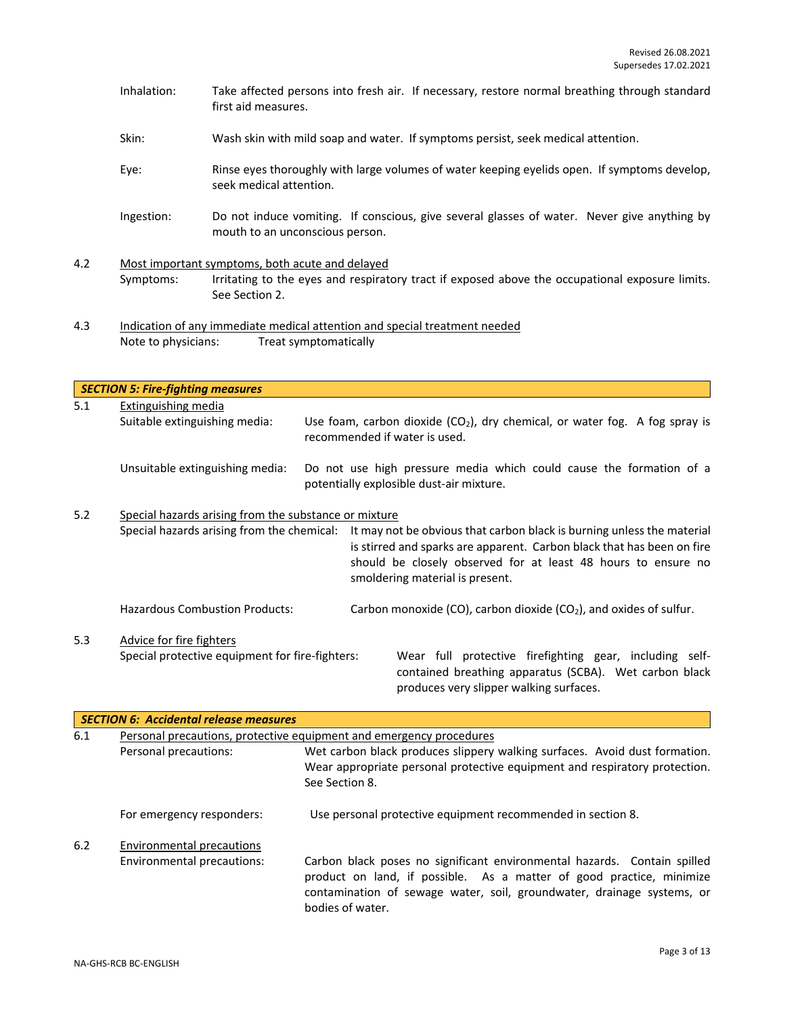- Inhalation: Take affected persons into fresh air. If necessary, restore normal breathing through standard first aid measures.
- Skin: Wash skin with mild soap and water. If symptoms persist, seek medical attention.
- Eye: Rinse eyes thoroughly with large volumes of water keeping eyelids open. If symptoms develop, seek medical attention.
- Ingestion: Do not induce vomiting. If conscious, give several glasses of water. Never give anything by mouth to an unconscious person.
- 4.2 Most important symptoms, both acute and delayed Symptoms: Irritating to the eyes and respiratory tract if exposed above the occupational exposure limits. See Section 2.
- 4.3 Indication of any immediate medical attention and special treatment needed Note to physicians: Treat symptomatically

*SECTION 5: Fire-fighting measures* 5.1 Extinguishing media Suitable extinguishing media: Use foam, carbon dioxide  $(CO<sub>2</sub>)$ , dry chemical, or water fog. A fog spray is recommended if water is used. Unsuitable extinguishing media: Do not use high pressure media which could cause the formation of a potentially explosible dust-air mixture. 5.2 Special hazards arising from the substance or mixture Special hazards arising from the chemical: It may not be obvious that carbon black is burning unless the material is stirred and sparks are apparent. Carbon black that has been on fire should be closely observed for at least 48 hours to ensure no smoldering material is present. Hazardous Combustion Products: Carbon monoxide (CO), carbon dioxide (CO<sub>2</sub>), and oxides of sulfur. 5.3 Advice for fire fighters Special protective equipment for fire-fighters: Wear full protective firefighting gear, including selfcontained breathing apparatus (SCBA). Wet carbon black produces very slipper walking surfaces.

|     | <b>SECTION 6: Accidental release measures</b> |                                                                                                                                                                                                                                                |  |  |  |
|-----|-----------------------------------------------|------------------------------------------------------------------------------------------------------------------------------------------------------------------------------------------------------------------------------------------------|--|--|--|
| 6.1 |                                               | Personal precautions, protective equipment and emergency procedures                                                                                                                                                                            |  |  |  |
|     | Personal precautions:                         | Wet carbon black produces slippery walking surfaces. Avoid dust formation.<br>Wear appropriate personal protective equipment and respiratory protection.<br>See Section 8.                                                                     |  |  |  |
|     | For emergency responders:                     | Use personal protective equipment recommended in section 8.                                                                                                                                                                                    |  |  |  |
| 6.2 | <b>Environmental precautions</b>              |                                                                                                                                                                                                                                                |  |  |  |
|     | Environmental precautions:                    | Carbon black poses no significant environmental hazards. Contain spilled<br>product on land, if possible. As a matter of good practice, minimize<br>contamination of sewage water, soil, groundwater, drainage systems, or<br>bodies of water. |  |  |  |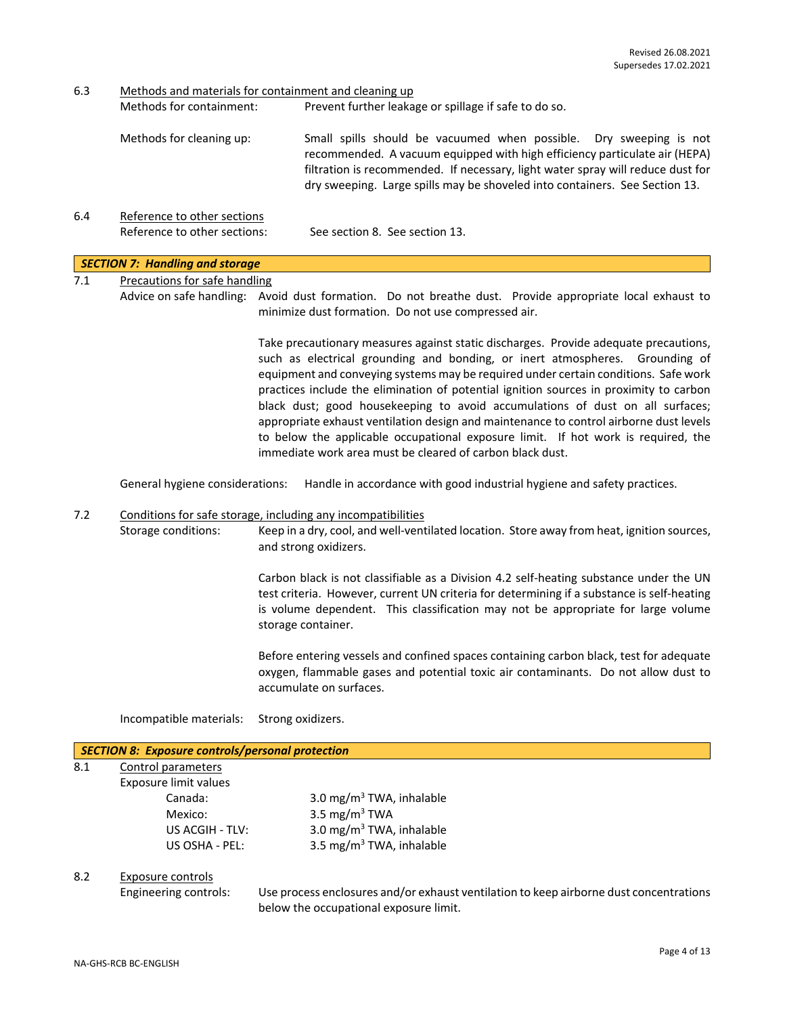6.3 Methods and materials for containment and cleaning up

| Methods for containment: | Prevent further leakage or spillage if safe to do so.                                                                                                                                                                                                                                                              |
|--------------------------|--------------------------------------------------------------------------------------------------------------------------------------------------------------------------------------------------------------------------------------------------------------------------------------------------------------------|
| Methods for cleaning up: | Small spills should be vacuumed when possible. Dry sweeping is not<br>recommended. A vacuum equipped with high efficiency particulate air (HEPA)<br>filtration is recommended. If necessary, light water spray will reduce dust for<br>dry sweeping. Large spills may be shoveled into containers. See Section 13. |

6.4 Reference to other sections Reference to other sections: See section 8. See section 13.

#### *SECTION 7: Handling and storage*

7.1 Precautions for safe handling

Advice on safe handling: Avoid dust formation. Do not breathe dust. Provide appropriate local exhaust to minimize dust formation. Do not use compressed air.

> Take precautionary measures against static discharges. Provide adequate precautions, such as electrical grounding and bonding, or inert atmospheres. Grounding of equipment and conveying systems may be required under certain conditions. Safe work practices include the elimination of potential ignition sources in proximity to carbon black dust; good housekeeping to avoid accumulations of dust on all surfaces; appropriate exhaust ventilation design and maintenance to control airborne dust levels to below the applicable occupational exposure limit. If hot work is required, the immediate work area must be cleared of carbon black dust.

General hygiene considerations: Handle in accordance with good industrial hygiene and safety practices.

## 7.2 Conditions for safe storage, including any incompatibilities

Storage conditions: Keep in a dry, cool, and well-ventilated location. Store away from heat, ignition sources, and strong oxidizers.

> Carbon black is not classifiable as a Division 4.2 self-heating substance under the UN test criteria. However, current UN criteria for determining if a substance is self-heating is volume dependent. This classification may not be appropriate for large volume storage container.

> Before entering vessels and confined spaces containing carbon black, test for adequate oxygen, flammable gases and potential toxic air contaminants. Do not allow dust to accumulate on surfaces.

Incompatible materials: Strong oxidizers.

#### *SECTION 8: Exposure controls/personal protection*

| 8.1 | Control parameters    |  |
|-----|-----------------------|--|
|     | Exposure limit values |  |
|     | Canada:               |  |
|     | Mexico:               |  |

3.0 mg/m $3$  TWA, inhalable 3.5 mg/m $3$  TWA US ACGIH - TLV:  $3.0 \text{ mg/m}^3$  TWA, inhalable US OSHA - PEL: 3.5 mg/m<sup>3</sup> TWA, inhalable

#### 8.2 Exposure controls

Engineering controls: Use process enclosures and/or exhaust ventilation to keep airborne dust concentrations below the occupational exposure limit.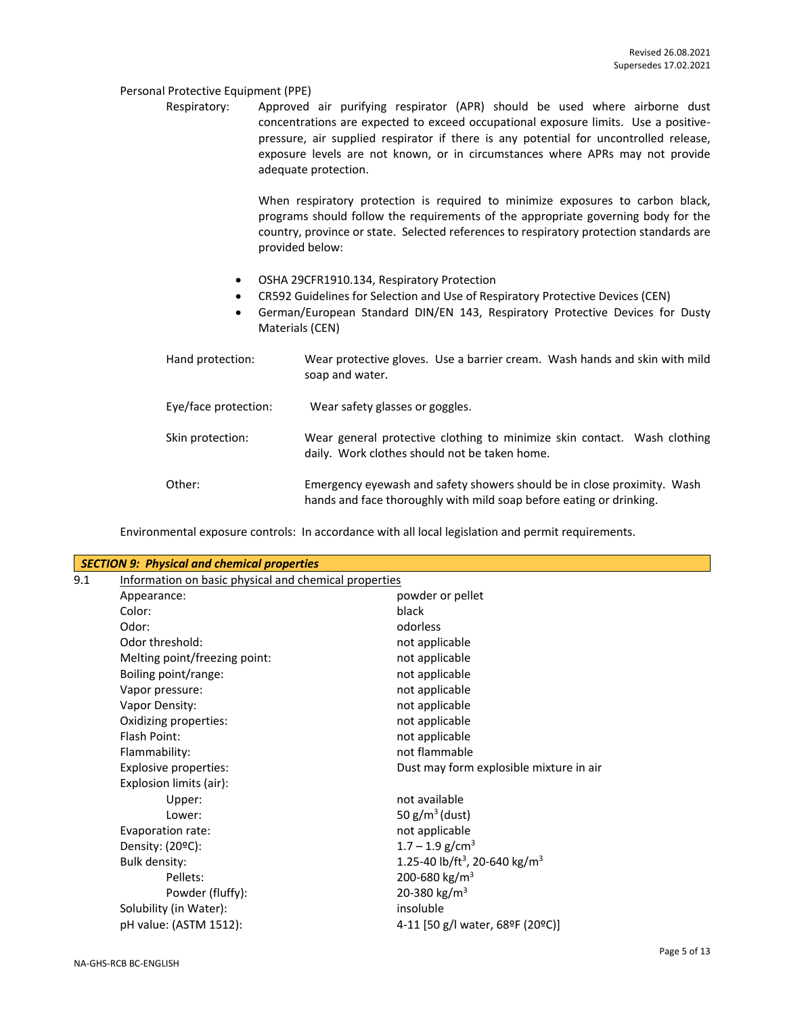#### Personal Protective Equipment (PPE)

Respiratory: Approved air purifying respirator (APR) should be used where airborne dust concentrations are expected to exceed occupational exposure limits. Use a positivepressure, air supplied respirator if there is any potential for uncontrolled release, exposure levels are not known, or in circumstances where APRs may not provide adequate protection.

> When respiratory protection is required to minimize exposures to carbon black, programs should follow the requirements of the appropriate governing body for the country, province or state. Selected references to respiratory protection standards are provided below:

- OSHA 29CFR1910.134, Respiratory Protection
- CR592 Guidelines for Selection and Use of Respiratory Protective Devices (CEN)
- German/European Standard DIN/EN 143, Respiratory Protective Devices for Dusty Materials (CEN)

| Hand protection:     | Wear protective gloves. Use a barrier cream. Wash hands and skin with mild<br>soap and water.                                                  |
|----------------------|------------------------------------------------------------------------------------------------------------------------------------------------|
| Eye/face protection: | Wear safety glasses or goggles.                                                                                                                |
| Skin protection:     | Wear general protective clothing to minimize skin contact. Wash clothing<br>daily. Work clothes should not be taken home.                      |
| Other:               | Emergency eyewash and safety showers should be in close proximity. Wash<br>hands and face thoroughly with mild soap before eating or drinking. |

Environmental exposure controls: In accordance with all local legislation and permit requirements.

| <b>SECTION 9: Physical and chemical properties</b> |                                                       |                                                       |  |  |
|----------------------------------------------------|-------------------------------------------------------|-------------------------------------------------------|--|--|
| 9.1                                                | Information on basic physical and chemical properties |                                                       |  |  |
|                                                    | Appearance:                                           | powder or pellet                                      |  |  |
|                                                    | Color:                                                | black                                                 |  |  |
|                                                    | Odor:                                                 | odorless                                              |  |  |
|                                                    | Odor threshold:                                       | not applicable                                        |  |  |
|                                                    | Melting point/freezing point:                         | not applicable                                        |  |  |
|                                                    | Boiling point/range:                                  | not applicable                                        |  |  |
|                                                    | Vapor pressure:                                       | not applicable                                        |  |  |
|                                                    | Vapor Density:                                        | not applicable                                        |  |  |
|                                                    | Oxidizing properties:                                 | not applicable                                        |  |  |
|                                                    | Flash Point:                                          | not applicable                                        |  |  |
|                                                    | Flammability:                                         | not flammable                                         |  |  |
|                                                    | <b>Explosive properties:</b>                          | Dust may form explosible mixture in air               |  |  |
|                                                    | Explosion limits (air):                               |                                                       |  |  |
|                                                    | Upper:                                                | not available                                         |  |  |
|                                                    | Lower:                                                | 50 $g/m^3$ (dust)                                     |  |  |
|                                                    | Evaporation rate:                                     | not applicable                                        |  |  |
|                                                    | Density: $(20^{\circ}C)$ :                            | $1.7 - 1.9$ g/cm <sup>3</sup>                         |  |  |
|                                                    | Bulk density:                                         | 1.25-40 lb/ft <sup>3</sup> , 20-640 kg/m <sup>3</sup> |  |  |
|                                                    | Pellets:                                              | 200-680 kg/m <sup>3</sup>                             |  |  |
|                                                    | Powder (fluffy):                                      | 20-380 kg/m <sup>3</sup>                              |  |  |
|                                                    | Solubility (in Water):                                | insoluble                                             |  |  |
|                                                    | pH value: (ASTM 1512):                                | 4-11 [50 g/l water, 68ºF (20ºC)]                      |  |  |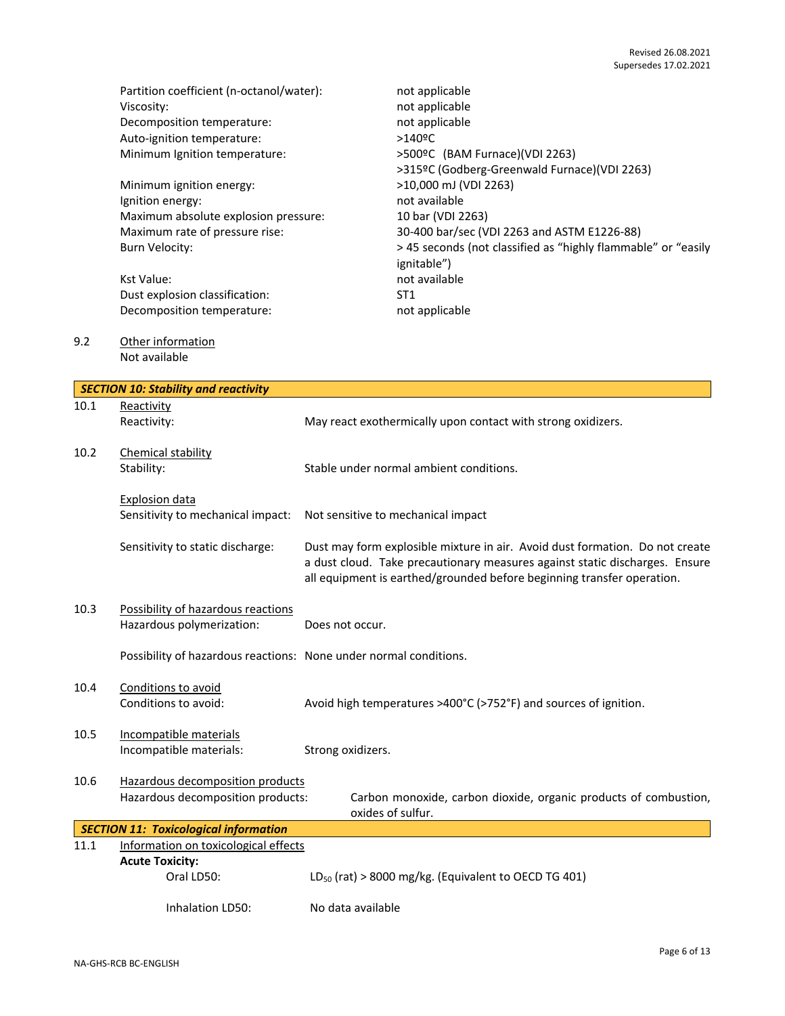|      | Partition coefficient (n-octanol/water):    | not applicable                                                               |
|------|---------------------------------------------|------------------------------------------------------------------------------|
|      | Viscosity:                                  | not applicable                                                               |
|      | Decomposition temperature:                  | not applicable                                                               |
|      | Auto-ignition temperature:                  | $>140$ <sup>o</sup> C                                                        |
|      | Minimum Ignition temperature:               | >500ºC (BAM Furnace)(VDI 2263)                                               |
|      |                                             | >315ºC (Godberg-Greenwald Furnace)(VDI 2263)                                 |
|      | Minimum ignition energy:                    | >10,000 mJ (VDI 2263)                                                        |
|      | Ignition energy:                            | not available                                                                |
|      | Maximum absolute explosion pressure:        | 10 bar (VDI 2263)                                                            |
|      | Maximum rate of pressure rise:              | 30-400 bar/sec (VDI 2263 and ASTM E1226-88)                                  |
|      | Burn Velocity:                              | > 45 seconds (not classified as "highly flammable" or "easily<br>ignitable") |
|      | <b>Kst Value:</b>                           | not available                                                                |
|      | Dust explosion classification:              | ST <sub>1</sub>                                                              |
|      | Decomposition temperature:                  | not applicable                                                               |
| 9.2  | Other information                           |                                                                              |
|      | Not available                               |                                                                              |
|      | <b>SECTION 10: Stability and reactivity</b> |                                                                              |
| 10.1 | Reactivity                                  |                                                                              |
|      | Reactivity:                                 | May react exothermically upon contact with strong oxidizers.                 |

- 10.2 Chemical stability Stability: Stable under normal ambient conditions. Explosion data Sensitivity to mechanical impact: Not sensitive to mechanical impact Sensitivity to static discharge: Dust may form explosible mixture in air. Avoid dust formation. Do not create a dust cloud. Take precautionary measures against static discharges. Ensure all equipment is earthed/grounded before beginning transfer operation.
- 10.3 Possibility of hazardous reactions Hazardous polymerization: Does not occur.

Possibility of hazardous reactions: None under normal conditions.

- 10.4 Conditions to avoid Conditions to avoid: Avoid high temperatures >400°C (>752°F) and sources of ignition.
- 10.5 Incompatible materials Incompatible materials: Strong oxidizers.
- 10.6 Hazardous decomposition products

Hazardous decomposition products: Carbon monoxide, carbon dioxide, organic products of combustion, oxides of sulfur.

|      | SECTION 11: Toxicological information |                                                           |  |
|------|---------------------------------------|-----------------------------------------------------------|--|
| 11.1 | Information on toxicological effects  |                                                           |  |
|      | <b>Acute Toxicity:</b>                |                                                           |  |
|      | Oral LD50:                            | $LD_{50}$ (rat) > 8000 mg/kg. (Equivalent to OECD TG 401) |  |
|      |                                       |                                                           |  |
|      | Inhalation LD50:                      | No data available                                         |  |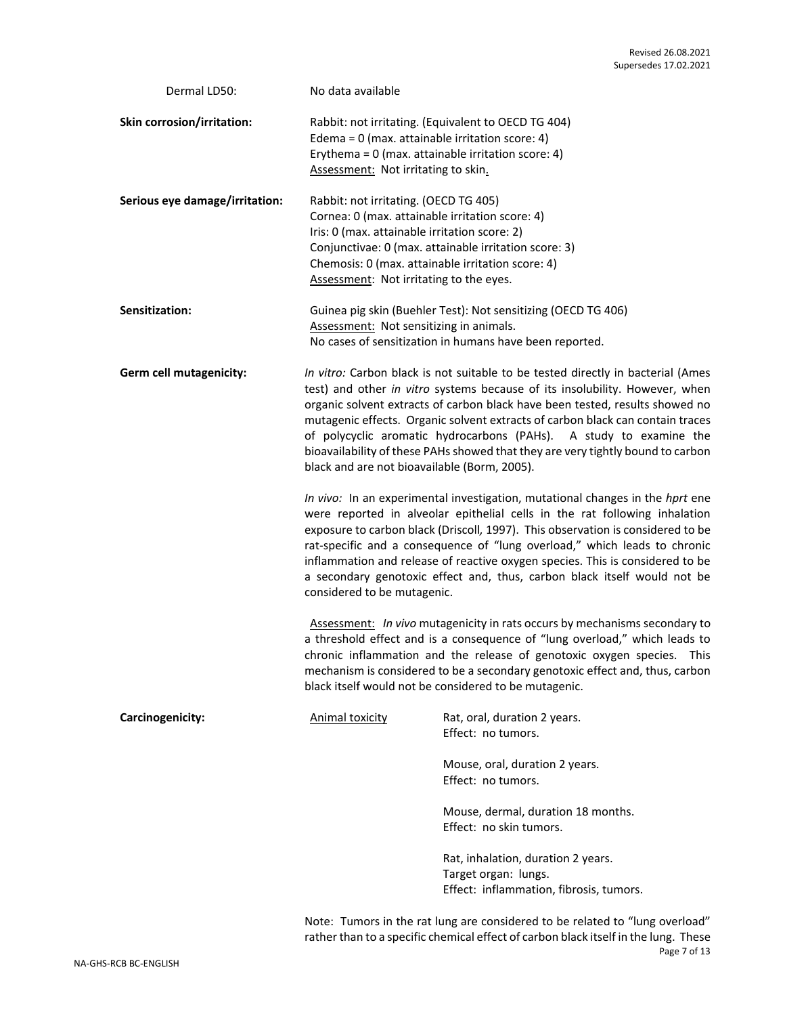| Dermal LD50:                   | No data available                                                                                                                                                                                                                                                                                                                                                                                                                                                                                                                         |                                                                                                                                                                                                                                                                                                                                                                                                                                                                                          |
|--------------------------------|-------------------------------------------------------------------------------------------------------------------------------------------------------------------------------------------------------------------------------------------------------------------------------------------------------------------------------------------------------------------------------------------------------------------------------------------------------------------------------------------------------------------------------------------|------------------------------------------------------------------------------------------------------------------------------------------------------------------------------------------------------------------------------------------------------------------------------------------------------------------------------------------------------------------------------------------------------------------------------------------------------------------------------------------|
| Skin corrosion/irritation:     | Edema = $0$ (max. attainable irritation score: 4)<br>Assessment: Not irritating to skin.                                                                                                                                                                                                                                                                                                                                                                                                                                                  | Rabbit: not irritating. (Equivalent to OECD TG 404)<br>Erythema = $0$ (max. attainable irritation score: 4)                                                                                                                                                                                                                                                                                                                                                                              |
| Serious eye damage/irritation: | Rabbit: not irritating. (OECD TG 405)<br>Cornea: 0 (max. attainable irritation score: 4)<br>Iris: 0 (max. attainable irritation score: 2)<br>Chemosis: 0 (max. attainable irritation score: 4)<br>Assessment: Not irritating to the eyes.                                                                                                                                                                                                                                                                                                 | Conjunctivae: 0 (max. attainable irritation score: 3)                                                                                                                                                                                                                                                                                                                                                                                                                                    |
| Sensitization:                 | Assessment: Not sensitizing in animals.                                                                                                                                                                                                                                                                                                                                                                                                                                                                                                   | Guinea pig skin (Buehler Test): Not sensitizing (OECD TG 406)<br>No cases of sensitization in humans have been reported.                                                                                                                                                                                                                                                                                                                                                                 |
| Germ cell mutagenicity:        | In vitro: Carbon black is not suitable to be tested directly in bacterial (Ames<br>test) and other in vitro systems because of its insolubility. However, when<br>organic solvent extracts of carbon black have been tested, results showed no<br>mutagenic effects. Organic solvent extracts of carbon black can contain traces<br>of polycyclic aromatic hydrocarbons (PAHs). A study to examine the<br>bioavailability of these PAHs showed that they are very tightly bound to carbon<br>black and are not bioavailable (Borm, 2005). |                                                                                                                                                                                                                                                                                                                                                                                                                                                                                          |
|                                | considered to be mutagenic.                                                                                                                                                                                                                                                                                                                                                                                                                                                                                                               | In vivo: In an experimental investigation, mutational changes in the hprt ene<br>were reported in alveolar epithelial cells in the rat following inhalation<br>exposure to carbon black (Driscoll, 1997). This observation is considered to be<br>rat-specific and a consequence of "lung overload," which leads to chronic<br>inflammation and release of reactive oxygen species. This is considered to be<br>a secondary genotoxic effect and, thus, carbon black itself would not be |
|                                |                                                                                                                                                                                                                                                                                                                                                                                                                                                                                                                                           | Assessment: In vivo mutagenicity in rats occurs by mechanisms secondary to<br>a threshold effect and is a consequence of "lung overload," which leads to<br>chronic inflammation and the release of genotoxic oxygen species. This<br>mechanism is considered to be a secondary genotoxic effect and, thus, carbon<br>black itself would not be considered to be mutagenic.                                                                                                              |
| Carcinogenicity:               | <b>Animal toxicity</b>                                                                                                                                                                                                                                                                                                                                                                                                                                                                                                                    | Rat, oral, duration 2 years.<br>Effect: no tumors.                                                                                                                                                                                                                                                                                                                                                                                                                                       |
|                                |                                                                                                                                                                                                                                                                                                                                                                                                                                                                                                                                           | Mouse, oral, duration 2 years.<br>Effect: no tumors.                                                                                                                                                                                                                                                                                                                                                                                                                                     |
|                                |                                                                                                                                                                                                                                                                                                                                                                                                                                                                                                                                           | Mouse, dermal, duration 18 months.<br>Effect: no skin tumors.                                                                                                                                                                                                                                                                                                                                                                                                                            |
|                                |                                                                                                                                                                                                                                                                                                                                                                                                                                                                                                                                           | Rat, inhalation, duration 2 years.<br>Target organ: lungs.<br>Effect: inflammation, fibrosis, tumors.                                                                                                                                                                                                                                                                                                                                                                                    |

Page 7 of 13 Note: Tumors in the rat lung are considered to be related to "lung overload" rather than to a specific chemical effect of carbon black itself in the lung. These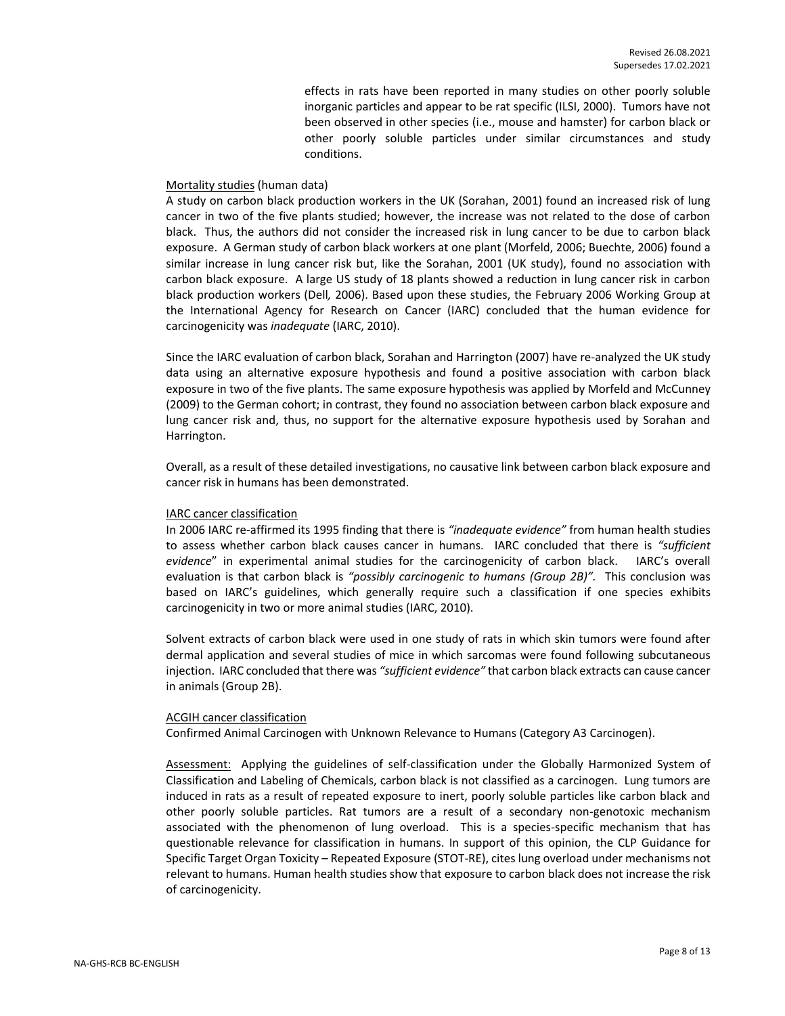effects in rats have been reported in many studies on other poorly soluble inorganic particles and appear to be rat specific (ILSI, 2000). Tumors have not been observed in other species (i.e., mouse and hamster) for carbon black or other poorly soluble particles under similar circumstances and study conditions.

#### Mortality studies (human data)

A study on carbon black production workers in the UK (Sorahan, 2001) found an increased risk of lung cancer in two of the five plants studied; however, the increase was not related to the dose of carbon black. Thus, the authors did not consider the increased risk in lung cancer to be due to carbon black exposure. A German study of carbon black workers at one plant (Morfeld, 2006; Buechte, 2006) found a similar increase in lung cancer risk but, like the Sorahan, 2001 (UK study), found no association with carbon black exposure. A large US study of 18 plants showed a reduction in lung cancer risk in carbon black production workers (Dell*,* 2006). Based upon these studies, the February 2006 Working Group at the International Agency for Research on Cancer (IARC) concluded that the human evidence for carcinogenicity was *inadequate* (IARC, 2010).

Since the IARC evaluation of carbon black, Sorahan and Harrington (2007) have re-analyzed the UK study data using an alternative exposure hypothesis and found a positive association with carbon black exposure in two of the five plants. The same exposure hypothesis was applied by Morfeld and McCunney (2009) to the German cohort; in contrast, they found no association between carbon black exposure and lung cancer risk and, thus, no support for the alternative exposure hypothesis used by Sorahan and Harrington.

Overall, as a result of these detailed investigations, no causative link between carbon black exposure and cancer risk in humans has been demonstrated.

#### IARC cancer classification

In 2006 IARC re-affirmed its 1995 finding that there is *"inadequate evidence"* from human health studies to assess whether carbon black causes cancer in humans. IARC concluded that there is *"sufficient evidence*" in experimental animal studies for the carcinogenicity of carbon black. IARC's overall evaluation is that carbon black is *"possibly carcinogenic to humans (Group 2B)".* This conclusion was based on IARC's guidelines, which generally require such a classification if one species exhibits carcinogenicity in two or more animal studies (IARC, 2010).

Solvent extracts of carbon black were used in one study of rats in which skin tumors were found after dermal application and several studies of mice in which sarcomas were found following subcutaneous injection. IARC concluded that there was *"sufficient evidence"* that carbon black extracts can cause cancer in animals (Group 2B).

#### ACGIH cancer classification

Confirmed Animal Carcinogen with Unknown Relevance to Humans (Category A3 Carcinogen).

Assessment: Applying the guidelines of self-classification under the Globally Harmonized System of Classification and Labeling of Chemicals, carbon black is not classified as a carcinogen. Lung tumors are induced in rats as a result of repeated exposure to inert, poorly soluble particles like carbon black and other poorly soluble particles. Rat tumors are a result of a secondary non-genotoxic mechanism associated with the phenomenon of lung overload. This is a species-specific mechanism that has questionable relevance for classification in humans. In support of this opinion, the CLP Guidance for Specific Target Organ Toxicity – Repeated Exposure (STOT-RE), cites lung overload under mechanisms not relevant to humans. Human health studies show that exposure to carbon black does not increase the risk of carcinogenicity.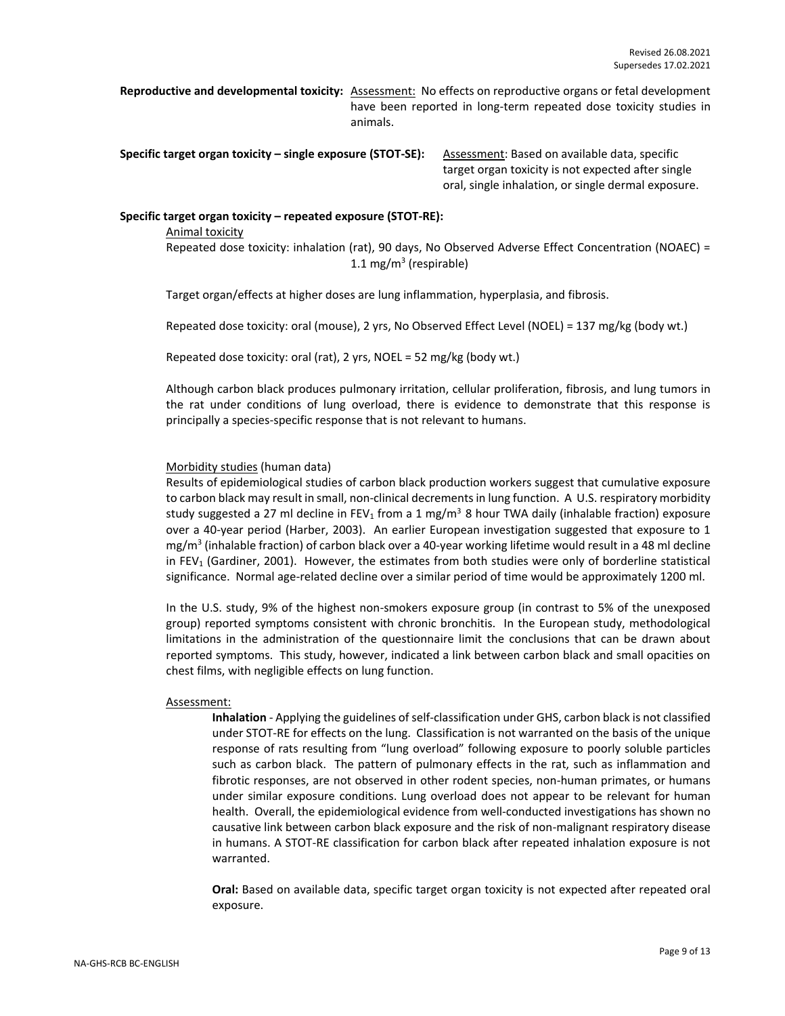**Reproductive and developmental toxicity:** Assessment: No effects on reproductive organs or fetal development have been reported in long-term repeated dose toxicity studies in animals.

**Specific target organ toxicity – single exposure (STOT-SE):** Assessment: Based on available data, specific

target organ toxicity is not expected after single oral, single inhalation, or single dermal exposure.

#### **Specific target organ toxicity – repeated exposure (STOT-RE):**

Animal toxicity Repeated dose toxicity: inhalation (rat), 90 days, No Observed Adverse Effect Concentration (NOAEC) = 1.1 mg/m<sup>3</sup> (respirable)

Target organ/effects at higher doses are lung inflammation, hyperplasia, and fibrosis.

Repeated dose toxicity: oral (mouse), 2 yrs, No Observed Effect Level (NOEL) = 137 mg/kg (body wt.)

Repeated dose toxicity: oral (rat), 2 yrs, NOEL = 52 mg/kg (body wt.)

Although carbon black produces pulmonary irritation, cellular proliferation, fibrosis, and lung tumors in the rat under conditions of lung overload, there is evidence to demonstrate that this response is principally a species-specific response that is not relevant to humans.

#### Morbidity studies (human data)

Results of epidemiological studies of carbon black production workers suggest that cumulative exposure to carbon black may result in small, non-clinical decrements in lung function. A U.S. respiratory morbidity study suggested a 27 ml decline in FEV<sub>1</sub> from a 1 mg/m<sup>3</sup> 8 hour TWA daily (inhalable fraction) exposure over a 40-year period (Harber, 2003). An earlier European investigation suggested that exposure to 1 mg/m<sup>3</sup> (inhalable fraction) of carbon black over a 40-year working lifetime would result in a 48 ml decline in FEV<sub>1</sub> (Gardiner, 2001). However, the estimates from both studies were only of borderline statistical significance. Normal age-related decline over a similar period of time would be approximately 1200 ml.

In the U.S. study, 9% of the highest non-smokers exposure group (in contrast to 5% of the unexposed group) reported symptoms consistent with chronic bronchitis. In the European study, methodological limitations in the administration of the questionnaire limit the conclusions that can be drawn about reported symptoms. This study, however, indicated a link between carbon black and small opacities on chest films, with negligible effects on lung function.

#### Assessment:

**Inhalation** - Applying the guidelines of self-classification under GHS, carbon black is not classified under STOT-RE for effects on the lung. Classification is not warranted on the basis of the unique response of rats resulting from "lung overload" following exposure to poorly soluble particles such as carbon black. The pattern of pulmonary effects in the rat, such as inflammation and fibrotic responses, are not observed in other rodent species, non-human primates, or humans under similar exposure conditions. Lung overload does not appear to be relevant for human health. Overall, the epidemiological evidence from well-conducted investigations has shown no causative link between carbon black exposure and the risk of non-malignant respiratory disease in humans. A STOT-RE classification for carbon black after repeated inhalation exposure is not warranted.

**Oral:** Based on available data, specific target organ toxicity is not expected after repeated oral exposure.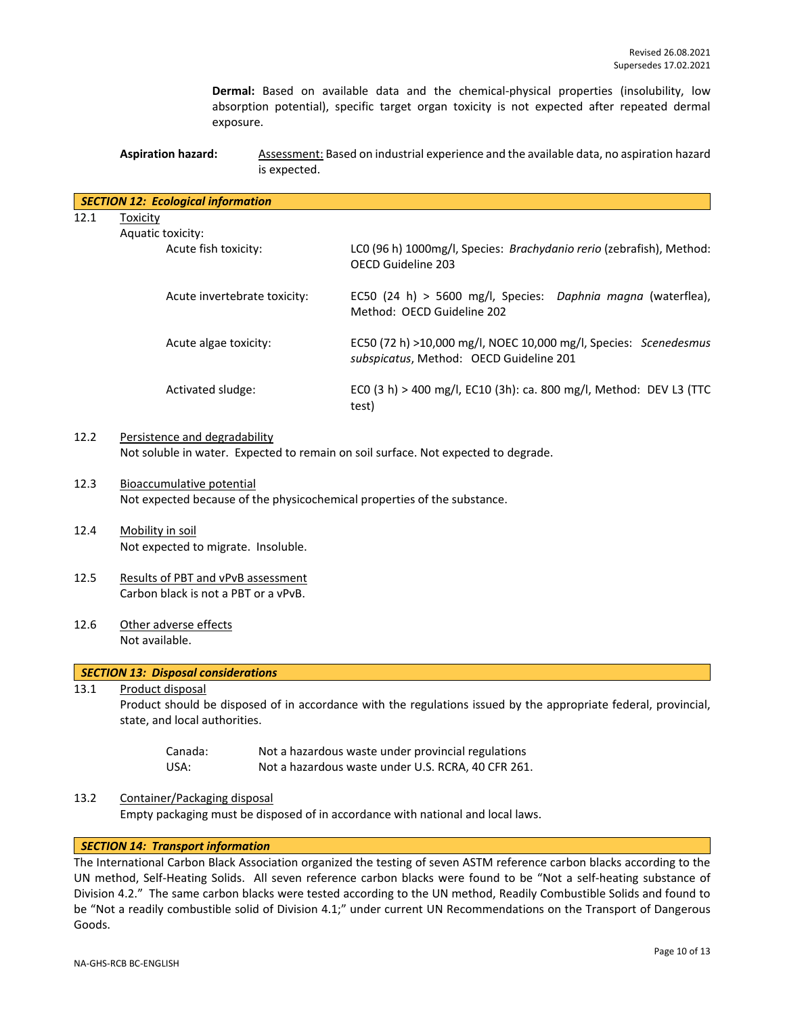**Dermal:** Based on available data and the chemical-physical properties (insolubility, low absorption potential), specific target organ toxicity is not expected after repeated dermal exposure.

**Aspiration hazard:** Assessment: Based on industrial experience and the available data, no aspiration hazard is expected.

|                                                                                                                                                                              | <b>SECTION 12: Ecological information</b>                                                                    |                                                                                                             |  |
|------------------------------------------------------------------------------------------------------------------------------------------------------------------------------|--------------------------------------------------------------------------------------------------------------|-------------------------------------------------------------------------------------------------------------|--|
| 12.1                                                                                                                                                                         | <b>Toxicity</b>                                                                                              |                                                                                                             |  |
|                                                                                                                                                                              | Aquatic toxicity:                                                                                            |                                                                                                             |  |
|                                                                                                                                                                              | Acute fish toxicity:                                                                                         | LC0 (96 h) 1000mg/l, Species: Brachydanio rerio (zebrafish), Method:<br>OECD Guideline 203                  |  |
|                                                                                                                                                                              | Acute invertebrate toxicity:                                                                                 | EC50 (24 h) > 5600 mg/l, Species: Daphnia magna (waterflea),<br>Method: OECD Guideline 202                  |  |
|                                                                                                                                                                              | Acute algae toxicity:                                                                                        | EC50 (72 h) >10,000 mg/l, NOEC 10,000 mg/l, Species: Scenedesmus<br>subspicatus, Method: OECD Guideline 201 |  |
|                                                                                                                                                                              | Activated sludge:                                                                                            | ECO (3 h) > 400 mg/l, EC10 (3h): ca. 800 mg/l, Method: DEV L3 (TTC<br>test)                                 |  |
| 12.2                                                                                                                                                                         | Persistence and degradability                                                                                | Not soluble in water. Expected to remain on soil surface. Not expected to degrade.                          |  |
| 12.3                                                                                                                                                                         | <b>Bioaccumulative potential</b><br>Not expected because of the physicochemical properties of the substance. |                                                                                                             |  |
| 12.4                                                                                                                                                                         | Mobility in soil<br>Not expected to migrate. Insoluble.                                                      |                                                                                                             |  |
| 12.5                                                                                                                                                                         | Results of PBT and vPvB assessment<br>Carbon black is not a PBT or a vPvB.                                   |                                                                                                             |  |
| 12.6                                                                                                                                                                         | Other adverse effects<br>Not available.                                                                      |                                                                                                             |  |
|                                                                                                                                                                              | <b>SECTION 13: Disposal considerations</b>                                                                   |                                                                                                             |  |
| Product disposal<br>13.1<br>Product should be disposed of in accordance with the regulations issued by the appropriate federal, provincial,<br>state, and local authorities. |                                                                                                              |                                                                                                             |  |
|                                                                                                                                                                              | Canada:<br>USA:                                                                                              | Not a hazardous waste under provincial regulations<br>Not a hazardous waste under U.S. RCRA, 40 CFR 261.    |  |
| 13.2                                                                                                                                                                         | Container/Packaging disposal                                                                                 |                                                                                                             |  |

Empty packaging must be disposed of in accordance with national and local laws.

# *SECTION 14: Transport information*

The International Carbon Black Association organized the testing of seven ASTM reference carbon blacks according to the UN method, Self-Heating Solids. All seven reference carbon blacks were found to be "Not a self-heating substance of Division 4.2." The same carbon blacks were tested according to the UN method, Readily Combustible Solids and found to be "Not a readily combustible solid of Division 4.1;" under current UN Recommendations on the Transport of Dangerous Goods.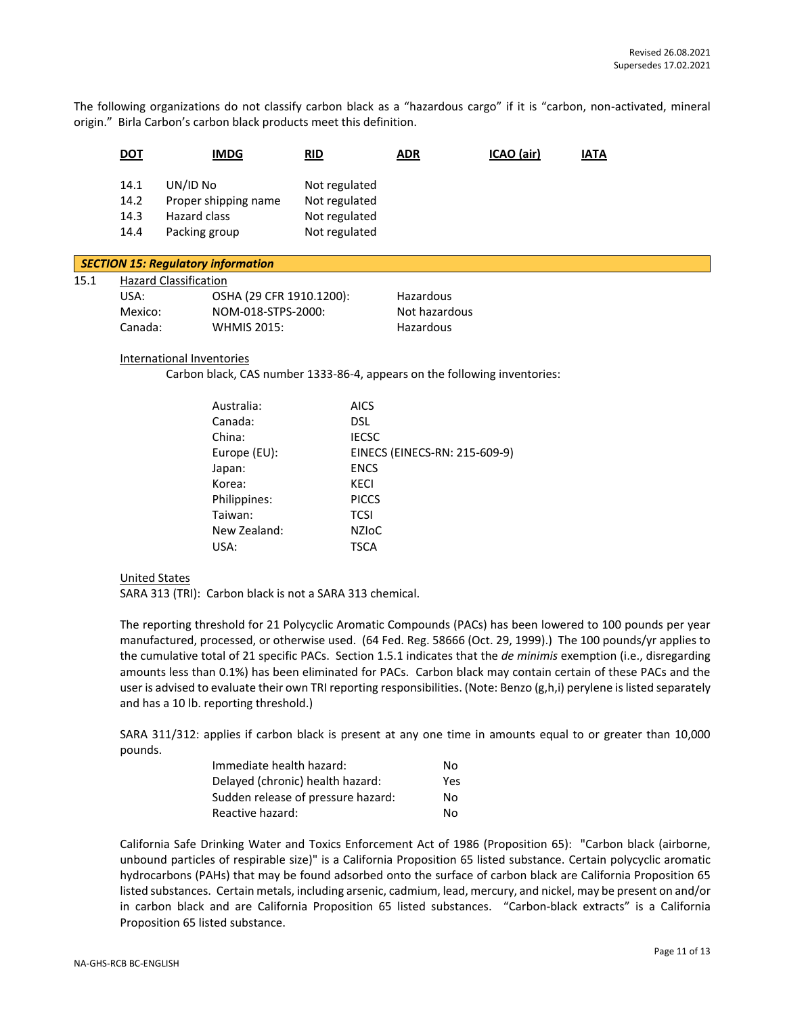The following organizations do not classify carbon black as a "hazardous cargo" if it is "carbon, non-activated, mineral origin." Birla Carbon's carbon black products meet this definition.

|                                                                          | <b>DOT</b>                   | <b>IMDG</b>                                                       | RID                                                              | <b>ADR</b> | ICAO (air) | <b>IATA</b> |  |
|--------------------------------------------------------------------------|------------------------------|-------------------------------------------------------------------|------------------------------------------------------------------|------------|------------|-------------|--|
|                                                                          | 14.1<br>14.2<br>14.3<br>14.4 | UN/ID No<br>Proper shipping name<br>Hazard class<br>Packing group | Not regulated<br>Not regulated<br>Not regulated<br>Not regulated |            |            |             |  |
| <b>SECTION 15: Regulatory information</b>                                |                              |                                                                   |                                                                  |            |            |             |  |
| <b>Hazard Classification</b><br>15.1<br>OSHA (29 CFR 1910.1200):<br>USA: |                              |                                                                   | Hazardous                                                        |            |            |             |  |

| USA:    | OSHA (29 CFR 1910.1200): | Hazardous     |
|---------|--------------------------|---------------|
| Mexico: | NOM-018-STPS-2000:       | Not hazardous |
| Canada: | <b>WHMIS 2015:</b>       | Hazardous     |

#### International Inventories

Carbon black, CAS number 1333-86-4, appears on the following inventories:

| Australia:   | <b>AICS</b>                   |
|--------------|-------------------------------|
| Canada:      | DSL.                          |
| China:       | <b>IECSC</b>                  |
| Europe (EU): | EINECS (EINECS-RN: 215-609-9) |
| Japan:       | <b>ENCS</b>                   |
| Korea:       | KECI                          |
| Philippines: | <b>PICCS</b>                  |
| Taiwan:      | <b>TCSI</b>                   |
| New Zealand: | <b>NZIOC</b>                  |
| USA:         | TSCA                          |
|              |                               |

#### United States

SARA 313 (TRI): Carbon black is not a SARA 313 chemical.

The reporting threshold for 21 Polycyclic Aromatic Compounds (PACs) has been lowered to 100 pounds per year manufactured, processed, or otherwise used. (64 Fed. Reg. 58666 (Oct. 29, 1999).) The 100 pounds/yr applies to the cumulative total of 21 specific PACs. Section 1.5.1 indicates that the *de minimis* exemption (i.e., disregarding amounts less than 0.1%) has been eliminated for PACs. Carbon black may contain certain of these PACs and the user is advised to evaluate their own TRI reporting responsibilities. (Note: Benzo (g,h,i) perylene is listed separately and has a 10 lb. reporting threshold.)

SARA 311/312: applies if carbon black is present at any one time in amounts equal to or greater than 10,000 pounds.

| Immediate health hazard:           | No. |
|------------------------------------|-----|
| Delayed (chronic) health hazard:   | Yes |
| Sudden release of pressure hazard: | No. |
| Reactive hazard:                   | No. |

California Safe Drinking Water and Toxics Enforcement Act of 1986 (Proposition 65): "Carbon black (airborne, unbound particles of respirable size)" is a California Proposition 65 listed substance. Certain polycyclic aromatic hydrocarbons (PAHs) that may be found adsorbed onto the surface of carbon black are California Proposition 65 listed substances. Certain metals, including arsenic, cadmium, lead, mercury, and nickel, may be present on and/or in carbon black and are California Proposition 65 listed substances. "Carbon-black extracts" is a California Proposition 65 listed substance.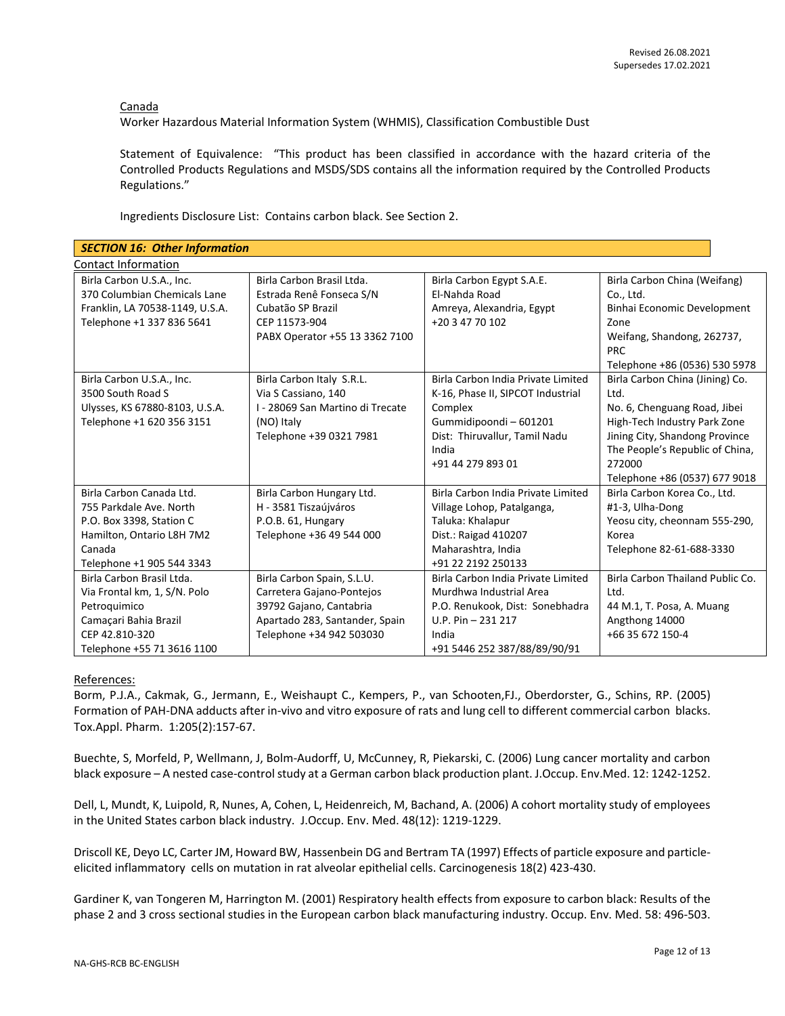Canada

Worker Hazardous Material Information System (WHMIS), Classification Combustible Dust

Statement of Equivalence: "This product has been classified in accordance with the hazard criteria of the Controlled Products Regulations and MSDS/SDS contains all the information required by the Controlled Products Regulations."

Ingredients Disclosure List: Contains carbon black. See Section 2.

| <b>SECTION 16: Other Information</b>                   |                                  |                                    |                                  |  |  |  |
|--------------------------------------------------------|----------------------------------|------------------------------------|----------------------------------|--|--|--|
| <b>Contact Information</b>                             |                                  |                                    |                                  |  |  |  |
| Birla Carbon Brasil Ltda.<br>Birla Carbon U.S.A., Inc. |                                  | Birla Carbon Egypt S.A.E.          | Birla Carbon China (Weifang)     |  |  |  |
| 370 Columbian Chemicals Lane                           | Estrada Renê Fonseca S/N         | El-Nahda Road                      | Co., Ltd.                        |  |  |  |
| Franklin, LA 70538-1149, U.S.A.                        | Cubatão SP Brazil                | Amreya, Alexandria, Egypt          | Binhai Economic Development      |  |  |  |
| Telephone +1 337 836 5641                              | CEP 11573-904                    | +20 3 47 70 102                    | Zone                             |  |  |  |
|                                                        | PABX Operator +55 13 3362 7100   |                                    | Weifang, Shandong, 262737,       |  |  |  |
|                                                        |                                  |                                    | <b>PRC</b>                       |  |  |  |
|                                                        |                                  |                                    | Telephone +86 (0536) 530 5978    |  |  |  |
| Birla Carbon U.S.A., Inc.                              | Birla Carbon Italy S.R.L.        | Birla Carbon India Private Limited | Birla Carbon China (Jining) Co.  |  |  |  |
| 3500 South Road S                                      | Via S Cassiano, 140              | K-16, Phase II, SIPCOT Industrial  | Ltd.                             |  |  |  |
| Ulysses, KS 67880-8103, U.S.A.                         | I - 28069 San Martino di Trecate | Complex                            | No. 6, Chenguang Road, Jibei     |  |  |  |
| Telephone +1 620 356 3151                              | (NO) Italy                       | Gummidipoondi-601201               | High-Tech Industry Park Zone     |  |  |  |
|                                                        | Telephone +39 0321 7981          | Dist: Thiruvallur, Tamil Nadu      | Jining City, Shandong Province   |  |  |  |
|                                                        |                                  | India                              | The People's Republic of China,  |  |  |  |
|                                                        |                                  | +91 44 279 893 01                  | 272000                           |  |  |  |
|                                                        |                                  |                                    | Telephone +86 (0537) 677 9018    |  |  |  |
| Birla Carbon Canada Ltd.                               | Birla Carbon Hungary Ltd.        | Birla Carbon India Private Limited | Birla Carbon Korea Co., Ltd.     |  |  |  |
| 755 Parkdale Ave. North                                | H - 3581 Tiszaújváros            | Village Lohop, Patalganga,         | #1-3, Ulha-Dong                  |  |  |  |
| P.O. Box 3398, Station C                               | P.O.B. 61, Hungary               | Taluka: Khalapur                   | Yeosu city, cheonnam 555-290,    |  |  |  |
| Hamilton, Ontario L8H 7M2                              | Telephone +36 49 544 000         | Dist.: Raigad 410207               | Korea                            |  |  |  |
| Canada                                                 |                                  | Maharashtra, India                 | Telephone 82-61-688-3330         |  |  |  |
| Telephone +1 905 544 3343                              |                                  | +91 22 2192 250133                 |                                  |  |  |  |
| Birla Carbon Brasil Ltda.                              | Birla Carbon Spain, S.L.U.       | Birla Carbon India Private Limited | Birla Carbon Thailand Public Co. |  |  |  |
| Via Frontal km, 1, S/N. Polo                           | Carretera Gajano-Pontejos        | Murdhwa Industrial Area            | Ltd.                             |  |  |  |
| Petroquimico                                           | 39792 Gajano, Cantabria          | P.O. Renukook, Dist: Sonebhadra    | 44 M.1, T. Posa, A. Muang        |  |  |  |
| Camaçari Bahia Brazil                                  | Apartado 283, Santander, Spain   | U.P. Pin $-231$ 217                | Angthong 14000                   |  |  |  |
| CEP 42.810-320                                         | Telephone +34 942 503030         | India                              | +66 35 672 150-4                 |  |  |  |
| Telephone +55 71 3616 1100                             |                                  | +91 5446 252 387/88/89/90/91       |                                  |  |  |  |

## References:

Borm, P.J.A., Cakmak, G., Jermann, E., Weishaupt C., Kempers, P., van Schooten,FJ., Oberdorster, G., Schins, RP. (2005) Formation of PAH-DNA adducts after in-vivo and vitro exposure of rats and lung cell to different commercial carbon blacks. Tox.Appl. Pharm. 1:205(2):157-67.

Buechte, S, Morfeld, P, Wellmann, J, Bolm-Audorff, U, McCunney, R, Piekarski, C. (2006) Lung cancer mortality and carbon black exposure – A nested case-control study at a German carbon black production plant. J.Occup. Env.Med. 12: 1242-1252.

Dell, L, Mundt, K, Luipold, R, Nunes, A, Cohen, L, Heidenreich, M, Bachand, A. (2006) A cohort mortality study of employees in the United States carbon black industry. J.Occup. Env. Med. 48(12): 1219-1229.

Driscoll KE, Deyo LC, Carter JM, Howard BW, Hassenbein DG and Bertram TA (1997) Effects of particle exposure and particleelicited inflammatory cells on mutation in rat alveolar epithelial cells. Carcinogenesis 18(2) 423-430.

Gardiner K, van Tongeren M, Harrington M. (2001) Respiratory health effects from exposure to carbon black: Results of the phase 2 and 3 cross sectional studies in the European carbon black manufacturing industry. Occup. Env. Med. 58: 496-503.